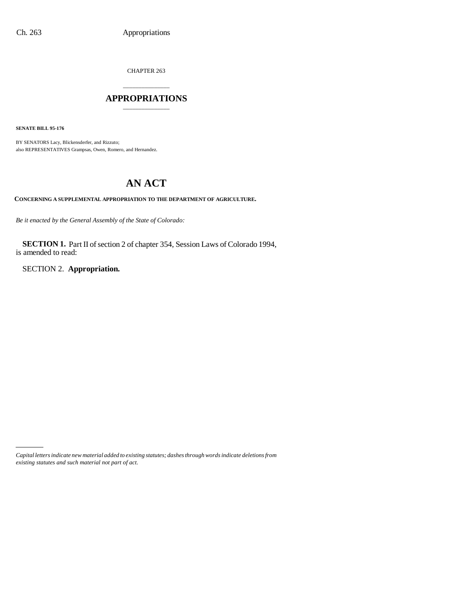CHAPTER 263

## \_\_\_\_\_\_\_\_\_\_\_\_\_\_\_ **APPROPRIATIONS** \_\_\_\_\_\_\_\_\_\_\_\_\_\_\_

**SENATE BILL 95-176**

BY SENATORS Lacy, Blickensderfer, and Rizzuto; also REPRESENTATIVES Grampsas, Owen, Romero, and Hernandez.

# **AN ACT**

**CONCERNING A SUPPLEMENTAL APPROPRIATION TO THE DEPARTMENT OF AGRICULTURE.**

*Be it enacted by the General Assembly of the State of Colorado:*

**SECTION 1.** Part II of section 2 of chapter 354, Session Laws of Colorado 1994, is amended to read:

SECTION 2. **Appropriation.**

*Capital letters indicate new material added to existing statutes; dashes through words indicate deletions from existing statutes and such material not part of act.*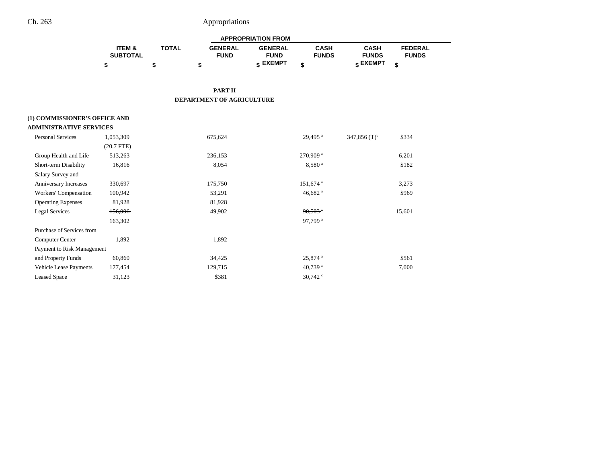# Ch. 263 Appropriations

|                                |                           |              |                               | <b>APPROPRIATION FROM</b>     |                             |                             |                                |
|--------------------------------|---------------------------|--------------|-------------------------------|-------------------------------|-----------------------------|-----------------------------|--------------------------------|
|                                | ITEM &<br><b>SUBTOTAL</b> | <b>TOTAL</b> | <b>GENERAL</b><br><b>FUND</b> | <b>GENERAL</b><br><b>FUND</b> | <b>CASH</b><br><b>FUNDS</b> | <b>CASH</b><br><b>FUNDS</b> | <b>FEDERAL</b><br><b>FUNDS</b> |
|                                | \$                        | \$           | \$                            | \$ EXEMPT                     | \$                          | \$ EXEMPT                   | \$                             |
|                                |                           |              |                               |                               |                             |                             |                                |
|                                |                           |              | <b>PART II</b>                |                               |                             |                             |                                |
|                                |                           |              | DEPARTMENT OF AGRICULTURE     |                               |                             |                             |                                |
| (1) COMMISSIONER'S OFFICE AND  |                           |              |                               |                               |                             |                             |                                |
| <b>ADMINISTRATIVE SERVICES</b> |                           |              |                               |                               |                             |                             |                                |
| <b>Personal Services</b>       | 1,053,309                 |              | 675,624                       |                               | 29,495 <sup>a</sup>         | 347,856 $(T)^b$             | \$334                          |
|                                | $(20.7$ FTE)              |              |                               |                               |                             |                             |                                |
| Group Health and Life          | 513,263                   |              | 236,153                       |                               | 270,909 <sup>a</sup>        |                             | 6,201                          |
| Short-term Disability          | 16,816                    |              | 8,054                         |                               | 8,580 <sup>a</sup>          |                             | \$182                          |
| Salary Survey and              |                           |              |                               |                               |                             |                             |                                |
| Anniversary Increases          | 330,697                   |              | 175,750                       |                               | 151,674 <sup>a</sup>        |                             | 3,273                          |
| Workers' Compensation          | 100,942                   |              | 53,291                        |                               | 46,682 <sup>a</sup>         |                             | \$969                          |
| <b>Operating Expenses</b>      | 81,928                    |              | 81,928                        |                               |                             |                             |                                |
| <b>Legal Services</b>          | 156,006                   |              | 49,902                        |                               | $90,503$ <sup>a</sup>       |                             | 15,601                         |
|                                | 163,302                   |              |                               |                               | 97,799 <sup>a</sup>         |                             |                                |
| Purchase of Services from      |                           |              |                               |                               |                             |                             |                                |
| <b>Computer Center</b>         | 1,892                     |              | 1,892                         |                               |                             |                             |                                |
| Payment to Risk Management     |                           |              |                               |                               |                             |                             |                                |
| and Property Funds             | 60,860                    |              | 34,425                        |                               | 25,874 <sup>a</sup>         |                             | \$561                          |
| Vehicle Lease Payments         | 177,454                   |              | 129,715                       |                               | 40,739 $^{\rm a}$           |                             | 7,000                          |
| <b>Leased Space</b>            | 31,123                    |              | \$381                         |                               | 30,742 $\degree$            |                             |                                |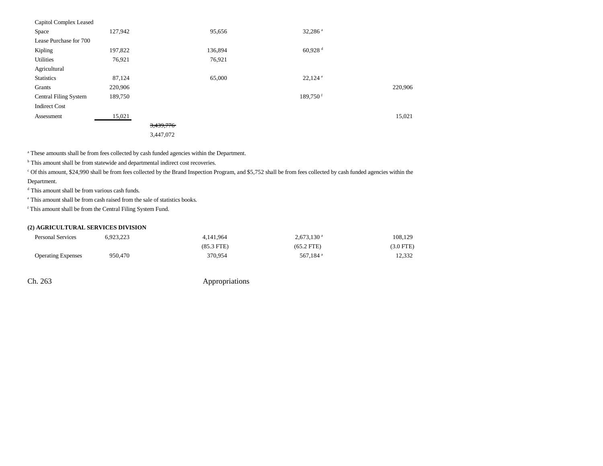| Capitol Complex Leased       |         |           |         |                       |         |
|------------------------------|---------|-----------|---------|-----------------------|---------|
| Space                        | 127,942 |           | 95,656  | 32,286 $a$            |         |
| Lease Purchase for 700       |         |           |         |                       |         |
| Kipling                      | 197,822 |           | 136,894 | $60,928$ <sup>d</sup> |         |
| Utilities                    | 76,921  |           | 76,921  |                       |         |
| Agricultural                 |         |           |         |                       |         |
| <b>Statistics</b>            | 87,124  |           | 65,000  | $22,124$ <sup>e</sup> |         |
| Grants                       | 220,906 |           |         |                       | 220,906 |
| <b>Central Filing System</b> | 189,750 |           |         | 189,750 <sup>f</sup>  |         |
| <b>Indirect Cost</b>         |         |           |         |                       |         |
| Assessment                   | 15,021  |           |         |                       | 15,021  |
|                              |         | 3,439,776 |         |                       |         |
|                              |         | 3,447,072 |         |                       |         |
|                              |         |           |         |                       |         |

<sup>a</sup> These amounts shall be from fees collected by cash funded agencies within the Department.

<sup>b</sup> This amount shall be from statewide and departmental indirect cost recoveries.

c Of this amount, \$24,990 shall be from fees collected by the Brand Inspection Program, and \$5,752 shall be from fees collected by cash funded agencies within the Department.

d This amount shall be from various cash funds.

e This amount shall be from cash raised from the sale of statistics books.

f This amount shall be from the Central Filing System Fund.

### **(2) AGRICULTURAL SERVICES DIVISION**

| <b>Personal Services</b>  | 5.923.223 | 4.141.964       | $2.673.130$ <sup>a</sup> | 108,129        |
|---------------------------|-----------|-----------------|--------------------------|----------------|
|                           |           | $(85.3$ FTE $)$ | $(65.2$ FTE)             | $(3.0$ FTE $)$ |
| <b>Operating Expenses</b> | 950,470   | 370.954         | 567.184 <sup>a</sup>     | 12,332         |

Ch. 263 Appropriations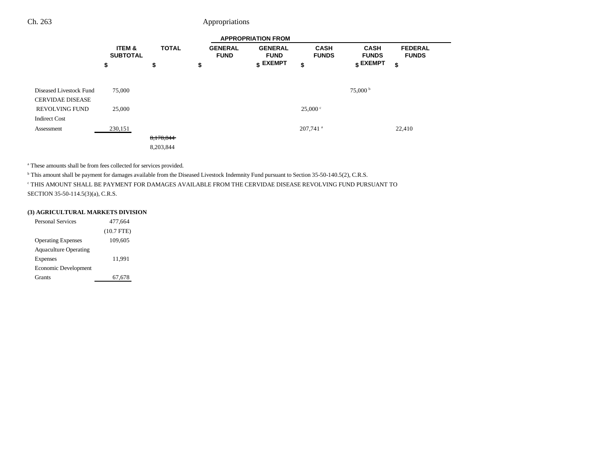## Ch. 263 Appropriations

|                                                    |                           |              |                               | <b>APPROPRIATION FROM</b>     |                             |                                  |                                |
|----------------------------------------------------|---------------------------|--------------|-------------------------------|-------------------------------|-----------------------------|----------------------------------|--------------------------------|
|                                                    | ITEM &<br><b>SUBTOTAL</b> | <b>TOTAL</b> | <b>GENERAL</b><br><b>FUND</b> | <b>GENERAL</b><br><b>FUND</b> | <b>CASH</b><br><b>FUNDS</b> | <b>CASH</b><br><b>FUNDS</b>      | <b>FEDERAL</b><br><b>FUNDS</b> |
|                                                    | \$                        | \$           | \$                            | $$$ EXEMPT                    | \$                          | $\boldsymbol{\mathsf{s}}$ EXEMPT | \$                             |
| Diseased Livestock Fund<br><b>CERVIDAE DISEASE</b> | 75,000                    |              |                               |                               |                             | $75,000^{\mathrm{b}}$            |                                |
| <b>REVOLVING FUND</b><br><b>Indirect Cost</b>      | 25,000                    |              |                               |                               | 25,000 °                    |                                  |                                |
| Assessment                                         | 230,151                   |              |                               |                               | $207,741$ <sup>a</sup>      |                                  | 22,410                         |
|                                                    |                           | 8,178,844    |                               |                               |                             |                                  |                                |
|                                                    |                           | 8,203,844    |                               |                               |                             |                                  |                                |

a These amounts shall be from fees collected for services provided.

<sup>b</sup> This amount shall be payment for damages available from the Diseased Livestock Indemnity Fund pursuant to Section 35-50-140.5(2), C.R.S.

c THIS AMOUNT SHALL BE PAYMENT FOR DAMAGES AVAILABLE FROM THE CERVIDAE DISEASE REVOLVING FUND PURSUANT TO SECTION 35-50-114.5(3)(a), C.R.S.

#### **(3) AGRICULTURAL MARKETS DIVISION**

| <b>Personal Services</b>     | 477.664      |
|------------------------------|--------------|
|                              | $(10.7$ FTE) |
| <b>Operating Expenses</b>    | 109,605      |
| <b>Aquaculture Operating</b> |              |
| Expenses                     | 11,991       |
| Economic Development         |              |
| Grants                       | 67,678       |
|                              |              |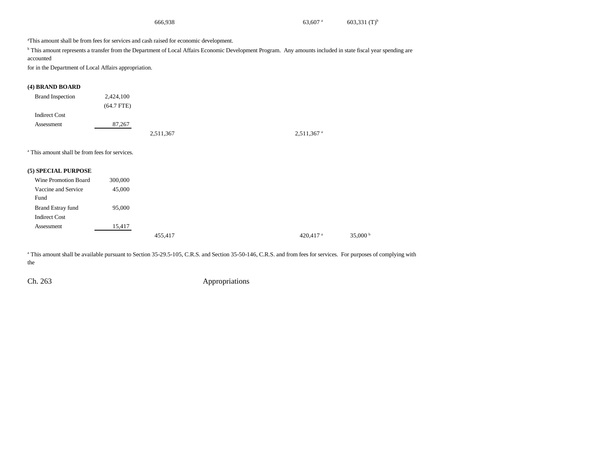| 666,938 | $63.607$ <sup>a</sup> | $603,331$ (T) <sup>b</sup> |
|---------|-----------------------|----------------------------|
|         |                       |                            |

aThis amount shall be from fees for services and cash raised for economic development.

<sup>b</sup> This amount represents a transfer from the Department of Local Affairs Economic Development Program. Any amounts included in state fiscal year spending are accounted

for in the Department of Local Affairs appropriation.

## **(4) BRAND BOARD**

| <b>Brand Inspection</b> | 2,424,100    |           |                          |
|-------------------------|--------------|-----------|--------------------------|
|                         | $(64.7$ FTE) |           |                          |
| <b>Indirect Cost</b>    |              |           |                          |
| Assessment              | 87,267       |           |                          |
|                         |              | 2,511,367 | $2,511,367$ <sup>a</sup> |

a This amount shall be from fees for services.

#### **(5) SPECIAL PURPOSE**

| Wine Promotion Board | 300,000 |         |
|----------------------|---------|---------|
| Vaccine and Service  | 45,000  |         |
| Fund                 |         |         |
| Brand Estray fund    | 95,000  |         |
| <b>Indirect Cost</b> |         |         |
| Assessment           | 15,417  |         |
|                      |         | 455,417 |

<sup>a</sup> This amount shall be available pursuant to Section 35-29.5-105, C.R.S. and Section 35-50-146, C.R.S. and from fees for services. For purposes of complying with the

Ch. 263 Appropriations